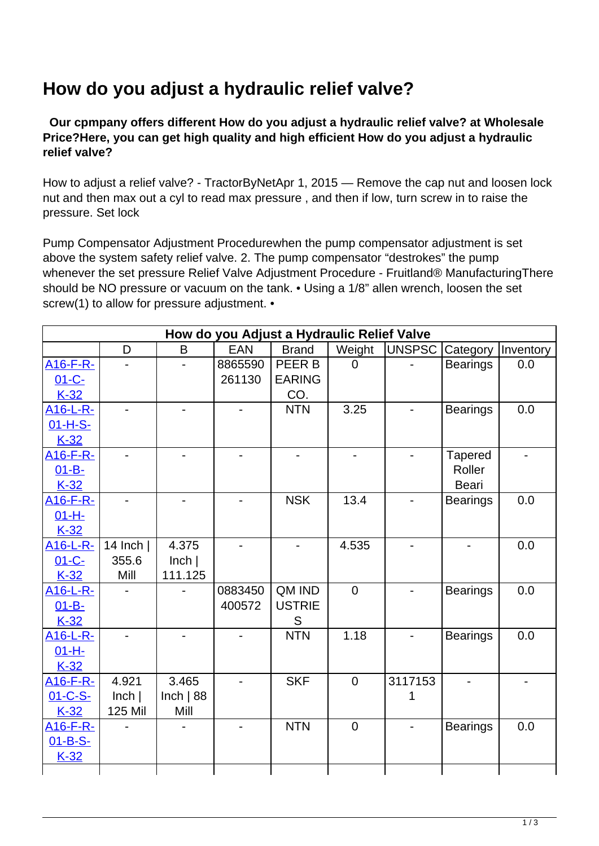## **How do you adjust a hydraulic relief valve?**

 **Our cpmpany offers different How do you adjust a hydraulic relief valve? at Wholesale Price?Here, you can get high quality and high efficient How do you adjust a hydraulic relief valve?**

How to adjust a relief valve? - TractorByNetApr 1, 2015 — Remove the cap nut and loosen lock nut and then max out a cyl to read max pressure , and then if low, turn screw in to raise the pressure. Set lock

Pump Compensator Adjustment Procedurewhen the pump compensator adjustment is set above the system safety relief valve. 2. The pump compensator "destrokes" the pump whenever the set pressure Relief Valve Adjustment Procedure - Fruitland® ManufacturingThere should be NO pressure or vacuum on the tank. • Using a 1/8" allen wrench, loosen the set screw(1) to allow for pressure adjustment. •

| How do you Adjust a Hydraulic Relief Valve |             |                |            |               |                |         |                 |           |
|--------------------------------------------|-------------|----------------|------------|---------------|----------------|---------|-----------------|-----------|
|                                            | D           | B              | <b>EAN</b> | <b>Brand</b>  | Weight         | UNSPSC  | Category        | Inventory |
| A <sub>16</sub> -F-R-                      |             |                | 8865590    | PEER B        | $\Omega$       |         | <b>Bearings</b> | 0.0       |
| $01 - C -$                                 |             |                | 261130     | <b>EARING</b> |                |         |                 |           |
| $K-32$                                     |             |                |            | CO.           |                |         |                 |           |
| A <sub>16</sub> -L-R-                      |             | $\blacksquare$ |            | <b>NTN</b>    | 3.25           |         | <b>Bearings</b> | 0.0       |
| 01-H-S-                                    |             |                |            |               |                |         |                 |           |
| $K-32$                                     |             |                |            |               |                |         |                 |           |
| A <sub>16</sub> -F-R-                      |             |                |            |               |                |         | <b>Tapered</b>  |           |
| $01 - B -$                                 |             |                |            |               |                |         | Roller          |           |
| $K-32$                                     |             |                |            |               |                |         | <b>Beari</b>    |           |
| A <sub>16</sub> -F-R-                      |             |                |            | <b>NSK</b>    | 13.4           |         | <b>Bearings</b> | 0.0       |
| $01 - H -$                                 |             |                |            |               |                |         |                 |           |
| $K-32$                                     |             |                |            |               |                |         |                 |           |
| A <sub>16</sub> -L-R-                      | 14 Inch $ $ | 4.375          |            |               | 4.535          |         |                 | 0.0       |
| $01 - C -$                                 | 355.6       | lnch           |            |               |                |         |                 |           |
| $K-32$                                     | Mill        | 111.125        |            |               |                |         |                 |           |
| A <sub>16</sub> -L-R-                      |             |                | 0883450    | QM IND        | $\overline{0}$ |         | <b>Bearings</b> | 0.0       |
| $01 - B -$                                 |             |                | 400572     | <b>USTRIE</b> |                |         |                 |           |
| $K-32$                                     |             |                |            | S             |                |         |                 |           |
| A <sub>16</sub> -L-R-                      |             |                |            | <b>NTN</b>    | 1.18           |         | <b>Bearings</b> | 0.0       |
| $01 - H -$                                 |             |                |            |               |                |         |                 |           |
| $K-32$                                     |             |                |            |               |                |         |                 |           |
| <u>A16-F-R-</u>                            | 4.921       | 3.465          |            | <b>SKF</b>    | $\overline{0}$ | 3117153 |                 |           |
| 01-C-S-                                    | lnch        | Inch $ 88$     |            |               |                | 1       |                 |           |
| $K-32$                                     | 125 Mil     | Mill           |            |               |                |         |                 |           |
| A <sub>16</sub> -F-R-                      |             |                |            | <b>NTN</b>    | $\overline{0}$ |         | <b>Bearings</b> | 0.0       |
| $01 - B-S -$                               |             |                |            |               |                |         |                 |           |
| $K-32$                                     |             |                |            |               |                |         |                 |           |
|                                            |             |                |            |               |                |         |                 |           |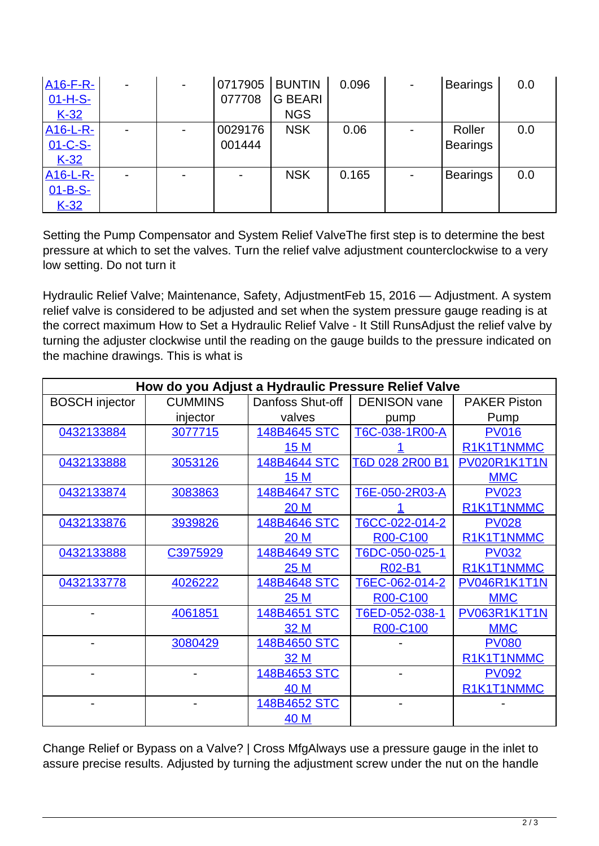| <b>A16-F-R-</b>       | $\blacksquare$ | $\blacksquare$ | 0717905 | <b>BUNTIN</b>  | 0.096 | <b>Bearings</b> | 0.0 |
|-----------------------|----------------|----------------|---------|----------------|-------|-----------------|-----|
| 01-H-S-               |                |                | 077708  | <b>G BEARI</b> |       |                 |     |
| $K-32$                |                |                |         | <b>NGS</b>     |       |                 |     |
| A <sub>16</sub> -L-R- |                |                | 0029176 | <b>NSK</b>     | 0.06  | Roller          | 0.0 |
| 01-C-S-               |                |                | 001444  |                |       | <b>Bearings</b> |     |
| $K-32$                |                |                |         |                |       |                 |     |
| <b>A16-L-R-</b>       |                |                |         | <b>NSK</b>     | 0.165 | <b>Bearings</b> | 0.0 |
| $01 - B-S$ -          |                |                |         |                |       |                 |     |
| $K-32$                |                |                |         |                |       |                 |     |

Setting the Pump Compensator and System Relief ValveThe first step is to determine the best pressure at which to set the valves. Turn the relief valve adjustment counterclockwise to a very low setting. Do not turn it

Hydraulic Relief Valve; Maintenance, Safety, AdjustmentFeb 15, 2016 — Adjustment. A system relief valve is considered to be adjusted and set when the system pressure gauge reading is at the correct maximum How to Set a Hydraulic Relief Valve - It Still RunsAdjust the relief valve by turning the adjuster clockwise until the reading on the gauge builds to the pressure indicated on the machine drawings. This is what is

| How do you Adjust a Hydraulic Pressure Relief Valve |                |                  |                     |                     |  |  |  |  |
|-----------------------------------------------------|----------------|------------------|---------------------|---------------------|--|--|--|--|
| <b>BOSCH</b> injector                               | <b>CUMMINS</b> | Danfoss Shut-off | <b>DENISON</b> vane | <b>PAKER Piston</b> |  |  |  |  |
|                                                     | injector       | valves           | pump                | Pump                |  |  |  |  |
| 0432133884                                          | 3077715        | 148B4645 STC     | T6C-038-1R00-A      | <b>PV016</b>        |  |  |  |  |
|                                                     |                | 15 M             |                     | R1K1T1NMMC          |  |  |  |  |
| 0432133888                                          | 3053126        | 148B4644 STC     | T6D 028 2R00 B1     | PV020R1K1T1N        |  |  |  |  |
|                                                     |                | 15 M             |                     | <b>MMC</b>          |  |  |  |  |
| 0432133874                                          | 3083863        | 148B4647 STC     | T6E-050-2R03-A      | <b>PV023</b>        |  |  |  |  |
|                                                     |                | 20 M             |                     | R1K1T1NMMC          |  |  |  |  |
| 0432133876                                          | 3939826        | 148B4646 STC     | T6CC-022-014-2      | <b>PV028</b>        |  |  |  |  |
|                                                     |                | <b>20 M</b>      | R00-C100            | R1K1T1NMMC          |  |  |  |  |
| 0432133888                                          | C3975929       | 148B4649 STC     | T6DC-050-025-1      | <b>PV032</b>        |  |  |  |  |
|                                                     |                | 25M              | <b>R02-B1</b>       | R1K1T1NMMC          |  |  |  |  |
| 0432133778                                          | 4026222        | 148B4648 STC     | T6EC-062-014-2      | <b>PV046R1K1T1N</b> |  |  |  |  |
|                                                     |                | 25M              | R00-C100            | <b>MMC</b>          |  |  |  |  |
|                                                     | 4061851        | 148B4651 STC     | T6ED-052-038-1      | PV063R1K1T1N        |  |  |  |  |
|                                                     |                | 32 M             | R00-C100            | <b>MMC</b>          |  |  |  |  |
|                                                     | 3080429        | 148B4650 STC     |                     | <b>PV080</b>        |  |  |  |  |
|                                                     |                | 32 M             |                     | R1K1T1NMMC          |  |  |  |  |
|                                                     |                | 148B4653 STC     |                     | <b>PV092</b>        |  |  |  |  |
|                                                     |                | 40 M             |                     | R1K1T1NMMC          |  |  |  |  |
|                                                     |                | 148B4652 STC     |                     |                     |  |  |  |  |
|                                                     |                | 40 M             |                     |                     |  |  |  |  |

Change Relief or Bypass on a Valve? | Cross MfgAlways use a pressure gauge in the inlet to assure precise results. Adjusted by turning the adjustment screw under the nut on the handle